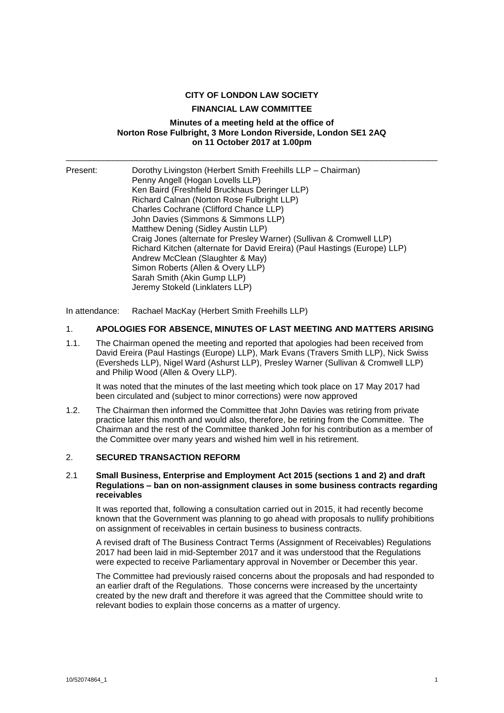### **CITY OF LONDON LAW SOCIETY**

### **FINANCIAL LAW COMMITTEE**

#### **Minutes of a meeting held at the office of Norton Rose Fulbright, 3 More London Riverside, London SE1 2AQ on 11 October 2017 at 1.00pm**

\_\_\_\_\_\_\_\_\_\_\_\_\_\_\_\_\_\_\_\_\_\_\_\_\_\_\_\_\_\_\_\_\_\_\_\_\_\_\_\_\_\_\_\_\_\_\_\_\_\_\_\_\_\_\_\_\_\_\_\_\_\_\_\_\_\_\_\_\_\_\_\_\_\_\_\_\_\_\_

| Present: | Dorothy Livingston (Herbert Smith Freehills LLP - Chairman)               |
|----------|---------------------------------------------------------------------------|
|          | Penny Angell (Hogan Lovells LLP)                                          |
|          | Ken Baird (Freshfield Bruckhaus Deringer LLP)                             |
|          | Richard Calnan (Norton Rose Fulbright LLP)                                |
|          | Charles Cochrane (Clifford Chance LLP)                                    |
|          | John Davies (Simmons & Simmons LLP)                                       |
|          | Matthew Dening (Sidley Austin LLP)                                        |
|          | Craig Jones (alternate for Presley Warner) (Sullivan & Cromwell LLP)      |
|          | Richard Kitchen (alternate for David Ereira) (Paul Hastings (Europe) LLP) |
|          | Andrew McClean (Slaughter & May)                                          |
|          | Simon Roberts (Allen & Overy LLP)                                         |
|          | Sarah Smith (Akin Gump LLP)                                               |
|          | Jeremy Stokeld (Linklaters LLP)                                           |

In attendance: Rachael MacKay (Herbert Smith Freehills LLP)

### 1. **APOLOGIES FOR ABSENCE, MINUTES OF LAST MEETING AND MATTERS ARISING**

1.1. The Chairman opened the meeting and reported that apologies had been received from David Ereira (Paul Hastings (Europe) LLP), Mark Evans (Travers Smith LLP), Nick Swiss (Eversheds LLP), Nigel Ward (Ashurst LLP), Presley Warner (Sullivan & Cromwell LLP) and Philip Wood (Allen & Overy LLP).

It was noted that the minutes of the last meeting which took place on 17 May 2017 had been circulated and (subject to minor corrections) were now approved

1.2. The Chairman then informed the Committee that John Davies was retiring from private practice later this month and would also, therefore, be retiring from the Committee. The Chairman and the rest of the Committee thanked John for his contribution as a member of the Committee over many years and wished him well in his retirement.

### 2. **SECURED TRANSACTION REFORM**

#### 2.1 **Small Business, Enterprise and Employment Act 2015 (sections 1 and 2) and draft Regulations – ban on non-assignment clauses in some business contracts regarding receivables**

It was reported that, following a consultation carried out in 2015, it had recently become known that the Government was planning to go ahead with proposals to nullify prohibitions on assignment of receivables in certain business to business contracts.

A revised draft of The Business Contract Terms (Assignment of Receivables) Regulations 2017 had been laid in mid-September 2017 and it was understood that the Regulations were expected to receive Parliamentary approval in November or December this year.

The Committee had previously raised concerns about the proposals and had responded to an earlier draft of the Regulations. Those concerns were increased by the uncertainty created by the new draft and therefore it was agreed that the Committee should write to relevant bodies to explain those concerns as a matter of urgency.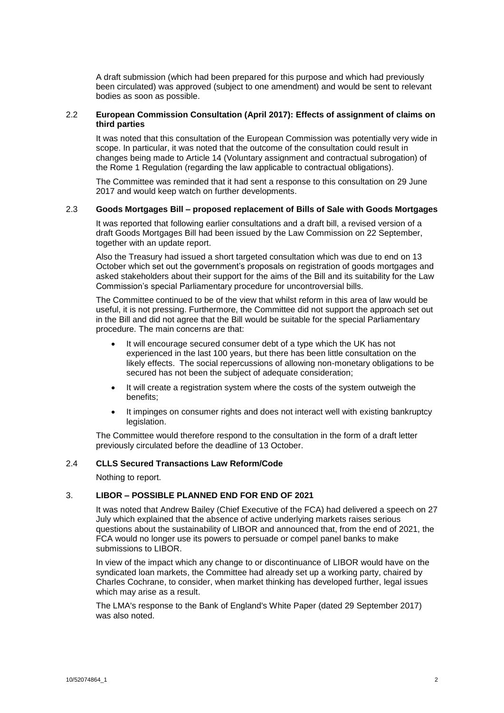A draft submission (which had been prepared for this purpose and which had previously been circulated) was approved (subject to one amendment) and would be sent to relevant bodies as soon as possible.

### 2.2 **European Commission Consultation (April 2017): Effects of assignment of claims on third parties**

It was noted that this consultation of the European Commission was potentially very wide in scope. In particular, it was noted that the outcome of the consultation could result in changes being made to Article 14 (Voluntary assignment and contractual subrogation) of the Rome 1 Regulation (regarding the law applicable to contractual obligations).

The Committee was reminded that it had sent a response to this consultation on 29 June 2017 and would keep watch on further developments.

#### 2.3 **Goods Mortgages Bill – proposed replacement of Bills of Sale with Goods Mortgages**

It was reported that following earlier consultations and a draft bill, a revised version of a draft Goods Mortgages Bill had been issued by the Law Commission on 22 September, together with an update report.

Also the Treasury had issued a short targeted consultation which was due to end on 13 October which set out the government's proposals on registration of goods mortgages and asked stakeholders about their support for the aims of the Bill and its suitability for the Law Commission's special Parliamentary procedure for uncontroversial bills.

The Committee continued to be of the view that whilst reform in this area of law would be useful, it is not pressing. Furthermore, the Committee did not support the approach set out in the Bill and did not agree that the Bill would be suitable for the special Parliamentary procedure. The main concerns are that:

- It will encourage secured consumer debt of a type which the UK has not experienced in the last 100 years, but there has been little consultation on the likely effects. The social repercussions of allowing non-monetary obligations to be secured has not been the subject of adequate consideration;
- It will create a registration system where the costs of the system outweigh the benefits;
- It impinges on consumer rights and does not interact well with existing bankruptcy legislation.

The Committee would therefore respond to the consultation in the form of a draft letter previously circulated before the deadline of 13 October.

### 2.4 **CLLS Secured Transactions Law Reform/Code**

Nothing to report.

# 3. **LIBOR – POSSIBLE PLANNED END FOR END OF 2021**

It was noted that Andrew Bailey (Chief Executive of the FCA) had delivered a speech on 27 July which explained that the absence of active underlying markets raises serious questions about the sustainability of LIBOR and announced that, from the end of 2021, the FCA would no longer use its powers to persuade or compel panel banks to make submissions to LIBOR.

In view of the impact which any change to or discontinuance of LIBOR would have on the syndicated loan markets, the Committee had already set up a working party, chaired by Charles Cochrane, to consider, when market thinking has developed further, legal issues which may arise as a result.

The LMA's response to the Bank of England's White Paper (dated 29 September 2017) was also noted.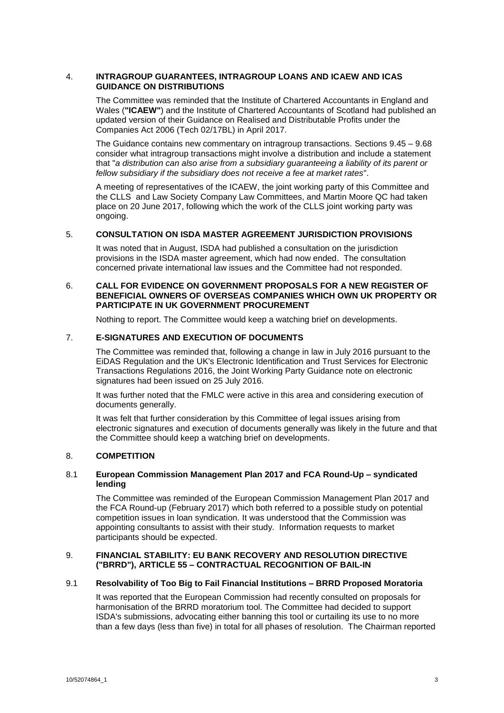### 4. **INTRAGROUP GUARANTEES, INTRAGROUP LOANS AND ICAEW AND ICAS GUIDANCE ON DISTRIBUTIONS**

The Committee was reminded that the Institute of Chartered Accountants in England and Wales (**"ICAEW"**) and the Institute of Chartered Accountants of Scotland had published an updated version of their Guidance on Realised and Distributable Profits under the Companies Act 2006 (Tech 02/17BL) in April 2017.

The Guidance contains new commentary on intragroup transactions. Sections 9.45 – 9.68 consider what intragroup transactions might involve a distribution and include a statement that "*a distribution can also arise from a subsidiary guaranteeing a liability of its parent or fellow subsidiary if the subsidiary does not receive a fee at market rates*".

A meeting of representatives of the ICAEW, the joint working party of this Committee and the CLLS and Law Society Company Law Committees, and Martin Moore QC had taken place on 20 June 2017, following which the work of the CLLS joint working party was ongoing.

# 5. **CONSULTATION ON ISDA MASTER AGREEMENT JURISDICTION PROVISIONS**

It was noted that in August, ISDA had published a consultation on the jurisdiction provisions in the ISDA master agreement, which had now ended. The consultation concerned private international law issues and the Committee had not responded.

## 6. **CALL FOR EVIDENCE ON GOVERNMENT PROPOSALS FOR A NEW REGISTER OF BENEFICIAL OWNERS OF OVERSEAS COMPANIES WHICH OWN UK PROPERTY OR PARTICIPATE IN UK GOVERNMENT PROCUREMENT**

Nothing to report. The Committee would keep a watching brief on developments.

# 7. **E-SIGNATURES AND EXECUTION OF DOCUMENTS**

The Committee was reminded that, following a change in law in July 2016 pursuant to the EiDAS Regulation and the UK's Electronic Identification and Trust Services for Electronic Transactions Regulations 2016, the Joint Working Party Guidance note on electronic signatures had been issued on 25 July 2016.

It was further noted that the FMLC were active in this area and considering execution of documents generally.

It was felt that further consideration by this Committee of legal issues arising from electronic signatures and execution of documents generally was likely in the future and that the Committee should keep a watching brief on developments.

### 8. **COMPETITION**

### 8.1 **European Commission Management Plan 2017 and FCA Round-Up – syndicated lending**

The Committee was reminded of the European Commission Management Plan 2017 and the FCA Round-up (February 2017) which both referred to a possible study on potential competition issues in loan syndication. It was understood that the Commission was appointing consultants to assist with their study. Information requests to market participants should be expected.

# 9. **FINANCIAL STABILITY: EU BANK RECOVERY AND RESOLUTION DIRECTIVE ("BRRD"), ARTICLE 55 – CONTRACTUAL RECOGNITION OF BAIL-IN**

### 9.1 **Resolvability of Too Big to Fail Financial Institutions – BRRD Proposed Moratoria**

It was reported that the European Commission had recently consulted on proposals for harmonisation of the BRRD moratorium tool. The Committee had decided to support ISDA's submissions, advocating either banning this tool or curtailing its use to no more than a few days (less than five) in total for all phases of resolution. The Chairman reported